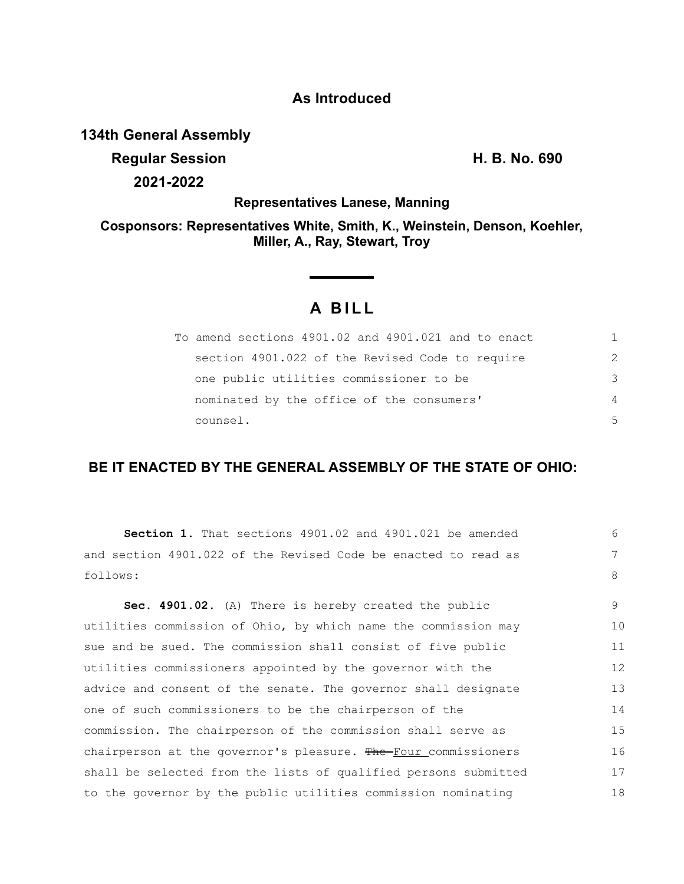## **As Introduced**

### **134th General Assembly**

**Regular Session H. B. No. 690 2021-2022**

**Representatives Lanese, Manning**

**Cosponsors: Representatives White, Smith, K., Weinstein, Denson, Koehler, Miller, A., Ray, Stewart, Troy**

# **A BILL**

| To amend sections 4901.02 and 4901.021 and to enact | 1             |
|-----------------------------------------------------|---------------|
| section 4901.022 of the Revised Code to require     | $\mathcal{P}$ |
| one public utilities commissioner to be             | 3             |
| nominated by the office of the consumers'           | 4             |
| counsel.                                            | 5             |

### **BE IT ENACTED BY THE GENERAL ASSEMBLY OF THE STATE OF OHIO:**

| <b>Section 1.</b> That sections 4901.02 and 4901.021 be amended | 6  |
|-----------------------------------------------------------------|----|
| and section 4901.022 of the Revised Code be enacted to read as  | 7  |
| follows:                                                        | 8  |
| Sec. 4901.02. (A) There is hereby created the public            | 9  |
| utilities commission of Ohio, by which name the commission may  | 10 |
| sue and be sued. The commission shall consist of five public    | 11 |
| utilities commissioners appointed by the governor with the      | 12 |
| advice and consent of the senate. The governor shall designate  | 13 |
| one of such commissioners to be the chairperson of the          | 14 |
| commission. The chairperson of the commission shall serve as    | 15 |
| chairperson at the governor's pleasure. The Four commissioners  | 16 |
| shall be selected from the lists of qualified persons submitted | 17 |
| to the governor by the public utilities commission nominating   | 18 |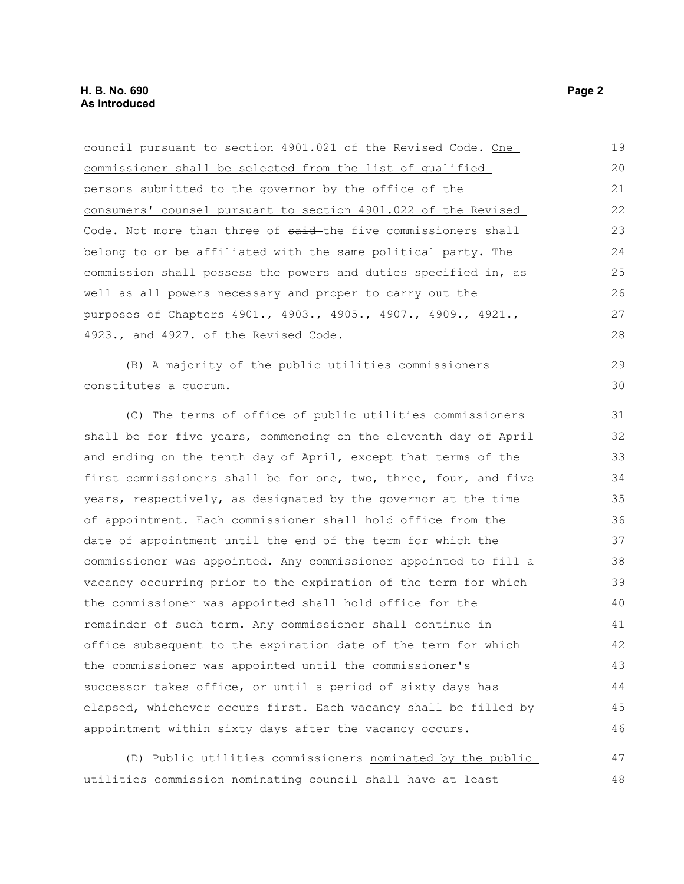council pursuant to section 4901.021 of the Revised Code. One commissioner shall be selected from the list of qualified persons submitted to the governor by the office of the consumers' counsel pursuant to section 4901.022 of the Revised Code. Not more than three of said the five commissioners shall belong to or be affiliated with the same political party. The commission shall possess the powers and duties specified in, as well as all powers necessary and proper to carry out the purposes of Chapters 4901., 4903., 4905., 4907., 4909., 4921., 4923., and 4927. of the Revised Code. (B) A majority of the public utilities commissioners constitutes a quorum. (C) The terms of office of public utilities commissioners shall be for five years, commencing on the eleventh day of April and ending on the tenth day of April, except that terms of the first commissioners shall be for one, two, three, four, and five years, respectively, as designated by the governor at the time of appointment. Each commissioner shall hold office from the date of appointment until the end of the term for which the commissioner was appointed. Any commissioner appointed to fill a vacancy occurring prior to the expiration of the term for which the commissioner was appointed shall hold office for the remainder of such term. Any commissioner shall continue in office subsequent to the expiration date of the term for which the commissioner was appointed until the commissioner's successor takes office, or until a period of sixty days has elapsed, whichever occurs first. Each vacancy shall be filled by appointment within sixty days after the vacancy occurs. (D) Public utilities commissioners nominated by the public 19 20 21 22 23 24 25 26 27 28 29 30 31 32 33 34 35 36 37 38 39 40 41 42 43 44 45 46 47

utilities commission nominating council shall have at least 48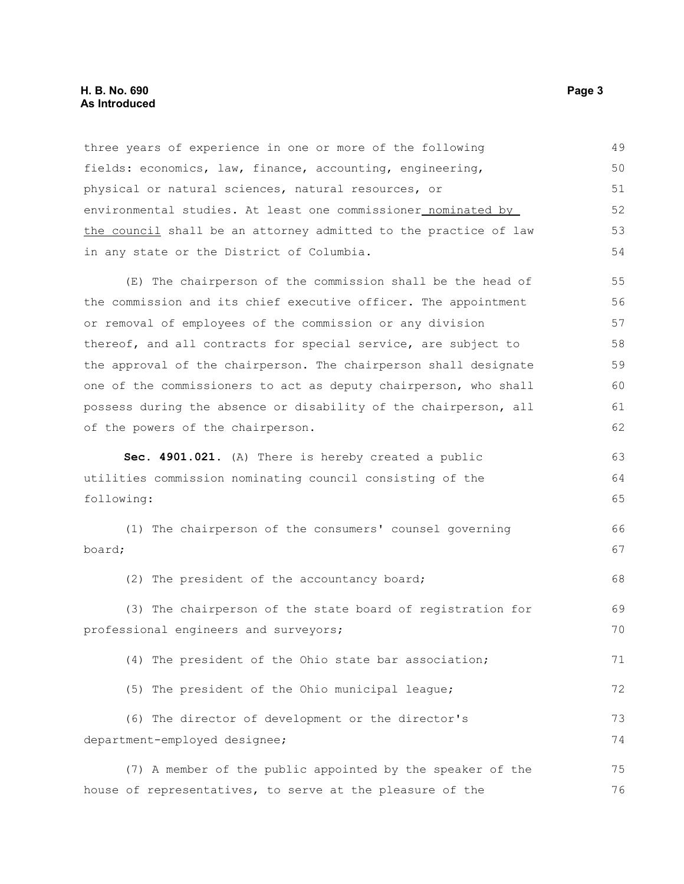#### **H. B. No. 690 Page 3 As Introduced**

three years of experience in one or more of the following fields: economics, law, finance, accounting, engineering, physical or natural sciences, natural resources, or environmental studies. At least one commissioner nominated by the council shall be an attorney admitted to the practice of law in any state or the District of Columbia. (E) The chairperson of the commission shall be the head of the commission and its chief executive officer. The appointment or removal of employees of the commission or any division thereof, and all contracts for special service, are subject to the approval of the chairperson. The chairperson shall designate one of the commissioners to act as deputy chairperson, who shall possess during the absence or disability of the chairperson, all of the powers of the chairperson. **Sec. 4901.021.** (A) There is hereby created a public utilities commission nominating council consisting of the following: (1) The chairperson of the consumers' counsel governing board; (2) The president of the accountancy board; (3) The chairperson of the state board of registration for professional engineers and surveyors; (4) The president of the Ohio state bar association; (5) The president of the Ohio municipal league; (6) The director of development or the director's department-employed designee; (7) A member of the public appointed by the speaker of the house of representatives, to serve at the pleasure of the 49 50 51 52 53 54 55 56 57 58 59 60 61 62 63 64 65 66 67 68 69 70 71 72 73 74 75 76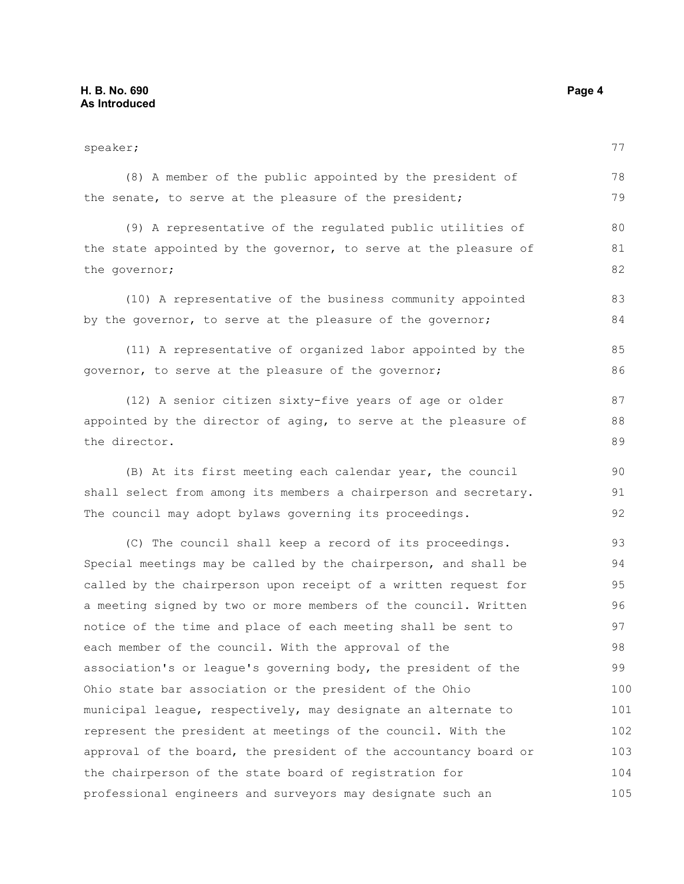speaker; (8) A member of the public appointed by the president of the senate, to serve at the pleasure of the president; (9) A representative of the regulated public utilities of the state appointed by the governor, to serve at the pleasure of the governor; (10) A representative of the business community appointed by the governor, to serve at the pleasure of the governor; (11) A representative of organized labor appointed by the governor, to serve at the pleasure of the governor; (12) A senior citizen sixty-five years of age or older appointed by the director of aging, to serve at the pleasure of the director. (B) At its first meeting each calendar year, the council shall select from among its members a chairperson and secretary. The council may adopt bylaws governing its proceedings. (C) The council shall keep a record of its proceedings. Special meetings may be called by the chairperson, and shall be called by the chairperson upon receipt of a written request for a meeting signed by two or more members of the council. Written notice of the time and place of each meeting shall be sent to each member of the council. With the approval of the association's or league's governing body, the president of the Ohio state bar association or the president of the Ohio municipal league, respectively, may designate an alternate to represent the president at meetings of the council. With the approval of the board, the president of the accountancy board or the chairperson of the state board of registration for professional engineers and surveyors may designate such an 77 78 79 80 81 82 83 84 85 86 87 88 89 90 91 92 93 94 95 96 97 98 99 100 101 102 103 104 105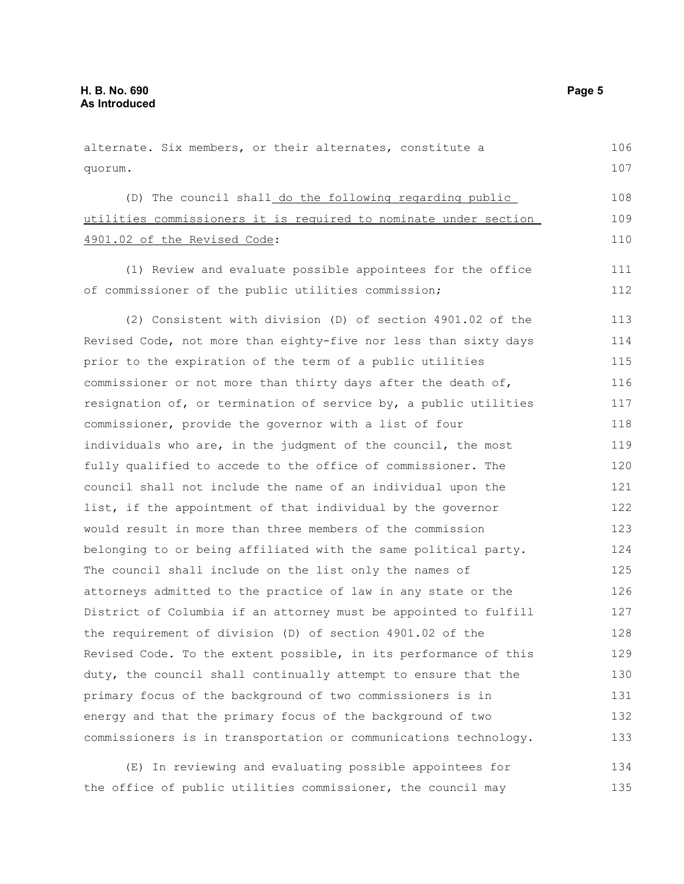alternate. Six members, or their alternates, constitute a quorum. (D) The council shall do the following regarding public utilities commissioners it is required to nominate under section 4901.02 of the Revised Code: (1) Review and evaluate possible appointees for the office of commissioner of the public utilities commission; (2) Consistent with division (D) of section 4901.02 of the Revised Code, not more than eighty-five nor less than sixty days prior to the expiration of the term of a public utilities commissioner or not more than thirty days after the death of, resignation of, or termination of service by, a public utilities commissioner, provide the governor with a list of four individuals who are, in the judgment of the council, the most fully qualified to accede to the office of commissioner. The council shall not include the name of an individual upon the list, if the appointment of that individual by the governor would result in more than three members of the commission belonging to or being affiliated with the same political party. The council shall include on the list only the names of attorneys admitted to the practice of law in any state or the District of Columbia if an attorney must be appointed to fulfill the requirement of division (D) of section 4901.02 of the Revised Code. To the extent possible, in its performance of this duty, the council shall continually attempt to ensure that the primary focus of the background of two commissioners is in energy and that the primary focus of the background of two commissioners is in transportation or communications technology. 106 107 108 109 110 111 112 113 114 115 116 117 118 119 120 121 122 123 124 125 126 127 128 129 130 131 132 133

(E) In reviewing and evaluating possible appointees for the office of public utilities commissioner, the council may 134 135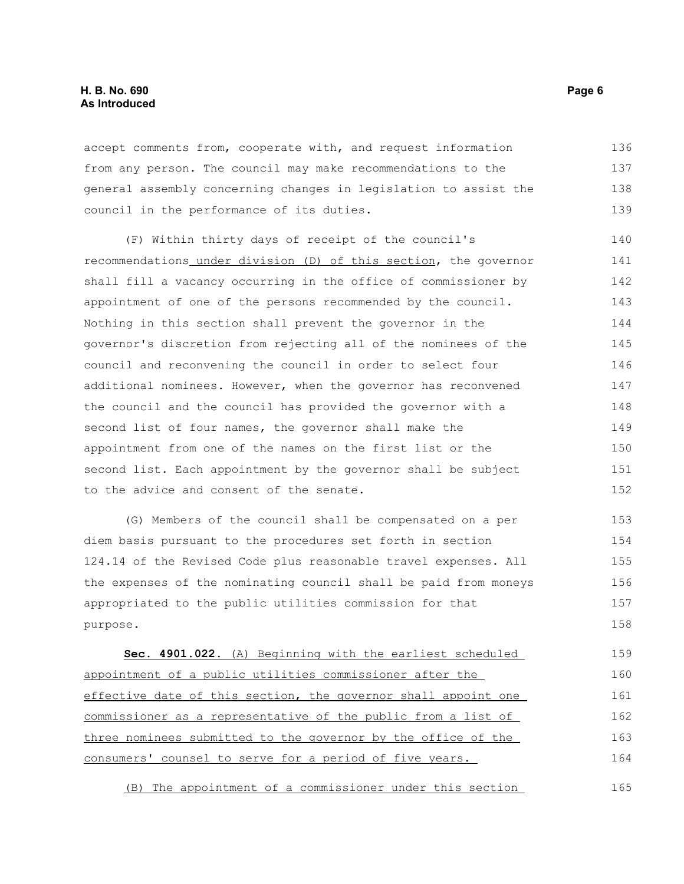#### **H. B. No. 690 Page 6 As Introduced**

accept comments from, cooperate with, and request information from any person. The council may make recommendations to the general assembly concerning changes in legislation to assist the council in the performance of its duties. 136 137 138 139

(F) Within thirty days of receipt of the council's recommendations under division (D) of this section, the governor shall fill a vacancy occurring in the office of commissioner by appointment of one of the persons recommended by the council. Nothing in this section shall prevent the governor in the governor's discretion from rejecting all of the nominees of the council and reconvening the council in order to select four additional nominees. However, when the governor has reconvened the council and the council has provided the governor with a second list of four names, the governor shall make the appointment from one of the names on the first list or the second list. Each appointment by the governor shall be subject to the advice and consent of the senate. 140 141 142 143 144 145 146 147 148 149 150 151 152

(G) Members of the council shall be compensated on a per diem basis pursuant to the procedures set forth in section 124.14 of the Revised Code plus reasonable travel expenses. All the expenses of the nominating council shall be paid from moneys appropriated to the public utilities commission for that purpose. 153 154 155 156 157 158

 **Sec. 4901.022.** (A) Beginning with the earliest scheduled appointment of a public utilities commissioner after the effective date of this section, the governor shall appoint one commissioner as a representative of the public from a list of three nominees submitted to the governor by the office of the consumers' counsel to serve for a period of five years. 159 160 161 162 163 164

(B) The appointment of a commissioner under this section 165